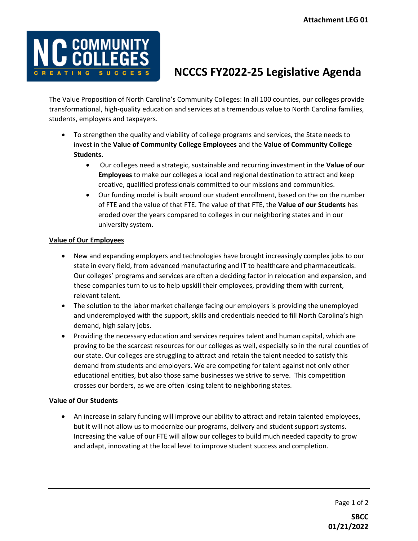

## **NCCCS FY2022-25 Legislative Agenda**

The Value Proposition of North Carolina's Community Colleges: In all 100 counties, our colleges provide transformational, high-quality education and services at a tremendous value to North Carolina families, students, employers and taxpayers.

- To strengthen the quality and viability of college programs and services, the State needs to invest in the **Value of Community College Employees** and the **Value of Community College Students.**
	- Our colleges need a strategic, sustainable and recurring investment in the **Value of our Employees** to make our colleges a local and regional destination to attract and keep creative, qualified professionals committed to our missions and communities.
	- Our funding model is built around our student enrollment, based on the on the number of FTE and the value of that FTE. The value of that FTE, the **Value of our Students** has eroded over the years compared to colleges in our neighboring states and in our university system.

## **Value of Our Employees**

- New and expanding employers and technologies have brought increasingly complex jobs to our state in every field, from advanced manufacturing and IT to healthcare and pharmaceuticals. Our colleges' programs and services are often a deciding factor in relocation and expansion, and these companies turn to us to help upskill their employees, providing them with current, relevant talent.
- The solution to the labor market challenge facing our employers is providing the unemployed and underemployed with the support, skills and credentials needed to fill North Carolina's high demand, high salary jobs.
- Providing the necessary education and services requires talent and human capital, which are proving to be the scarcest resources for our colleges as well, especially so in the rural counties of our state. Our colleges are struggling to attract and retain the talent needed to satisfy this demand from students and employers. We are competing for talent against not only other educational entities, but also those same businesses we strive to serve. This competition crosses our borders, as we are often losing talent to neighboring states.

## **Value of Our Students**

• An increase in salary funding will improve our ability to attract and retain talented employees, but it will not allow us to modernize our programs, delivery and student support systems. Increasing the value of our FTE will allow our colleges to build much needed capacity to grow and adapt, innovating at the local level to improve student success and completion.